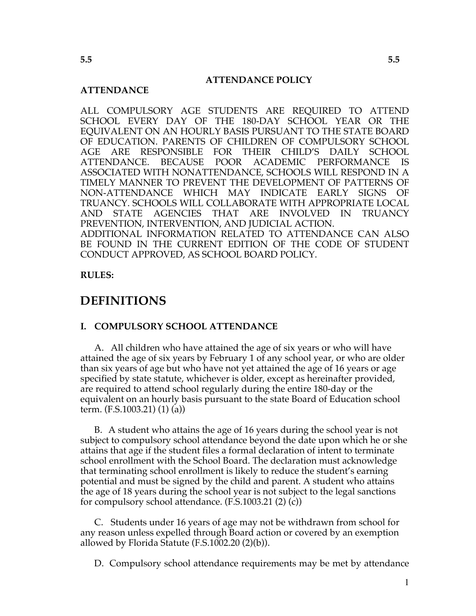#### **ATTENDANCE POLICY**

#### **ATTENDANCE**

ALL COMPULSORY AGE STUDENTS ARE REQUIRED TO ATTEND SCHOOL EVERY DAY OF THE 180-DAY SCHOOL YEAR OR THE EQUIVALENT ON AN HOURLY BASIS PURSUANT TO THE STATE BOARD OF EDUCATION. PARENTS OF CHILDREN OF COMPULSORY SCHOOL AGE ARE RESPONSIBLE FOR THEIR CHILD'S DAILY SCHOOL ATTENDANCE. BECAUSE POOR ACADEMIC PERFORMANCE IS ASSOCIATED WITH NONATTENDANCE, SCHOOLS WILL RESPOND IN A TIMELY MANNER TO PREVENT THE DEVELOPMENT OF PATTERNS OF NON-ATTENDANCE WHICH MAY INDICATE EARLY SIGNS OF TRUANCY. SCHOOLS WILL COLLABORATE WITH APPROPRIATE LOCAL AND STATE AGENCIES THAT ARE INVOLVED IN TRUANCY PREVENTION, INTERVENTION, AND JUDICIAL ACTION. ADDITIONAL INFORMATION RELATED TO ATTENDANCE CAN ALSO BE FOUND IN THE CURRENT EDITION OF THE CODE OF STUDENT

**RULES:**

## **DEFINITIONS**

#### **I. COMPULSORY SCHOOL ATTENDANCE**

CONDUCT APPROVED, AS SCHOOL BOARD POLICY.

A. All children who have attained the age of six years or who will have attained the age of six years by February 1 of any school year, or who are older than six years of age but who have not yet attained the age of 16 years or age specified by state statute, whichever is older, except as hereinafter provided, are required to attend school regularly during the entire 180-day or the equivalent on an hourly basis pursuant to the state Board of Education school term. (F.S.1003.21) (1) (a))

B. A student who attains the age of 16 years during the school year is not subject to compulsory school attendance beyond the date upon which he or she attains that age if the student files a formal declaration of intent to terminate school enrollment with the School Board. The declaration must acknowledge that terminating school enrollment is likely to reduce the student's earning potential and must be signed by the child and parent. A student who attains the age of 18 years during the school year is not subject to the legal sanctions for compulsory school attendance. (F.S.1003.21 (2) (c))

C. Students under 16 years of age may not be withdrawn from school for any reason unless expelled through Board action or covered by an exemption allowed by Florida Statute (F.S.1002.20 (2)(b)).

D. Compulsory school attendance requirements may be met by attendance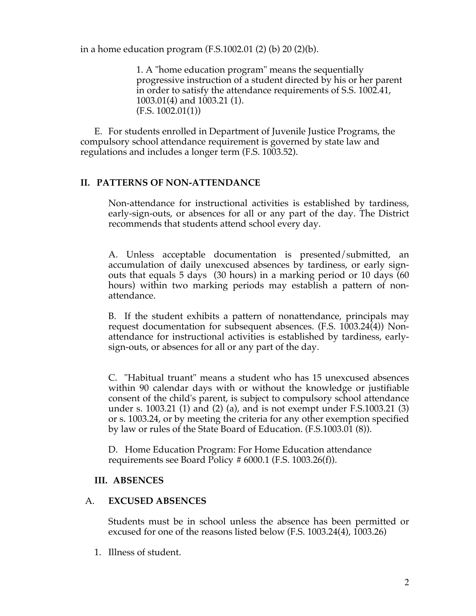in a home education program (F.S.1002.01 (2) (b) 20 (2)(b).

1. A "home education program" means the sequentially progressive instruction of a student directed by his or her parent in order to satisfy the attendance requirements of S.S. 1002.41, 1003.01(4) and 1003.21 (1). (F.S. 1002.01(1))

E. For students enrolled in Department of Juvenile Justice Programs, the compulsory school attendance requirement is governed by state law and regulations and includes a longer term (F.S. 1003.52).

### **II. PATTERNS OF NON-ATTENDANCE**

Non-attendance for instructional activities is established by tardiness, early-sign-outs, or absences for all or any part of the day. The District recommends that students attend school every day.

A. Unless acceptable documentation is presented/submitted, an accumulation of daily unexcused absences by tardiness, or early signouts that equals 5 days (30 hours) in a marking period or 10 days (60 hours) within two marking periods may establish a pattern of nonattendance.

B. If the student exhibits a pattern of nonattendance, principals may request documentation for subsequent absences. (F.S. 1003.24(4)) Nonattendance for instructional activities is established by tardiness, earlysign-outs, or absences for all or any part of the day.

C. "Habitual truant" means a student who has 15 unexcused absences within 90 calendar days with or without the knowledge or justifiable consent of the child's parent, is subject to compulsory school attendance under s. 1003.21 (1) and (2) (a), and is not exempt under F.S.1003.21 (3) or s. 1003.24, or by meeting the criteria for any other exemption specified by law or rules of the State Board of Education. (F.S.1003.01 (8)).

D. Home Education Program: For Home Education attendance requirements see Board Policy # 6000.1 (F.S. 1003.26(f)).

### **III. ABSENCES**

### A. **EXCUSED ABSENCES**

Students must be in school unless the absence has been permitted or excused for one of the reasons listed below (F.S. 1003.24(4), 1003.26)

1. Illness of student.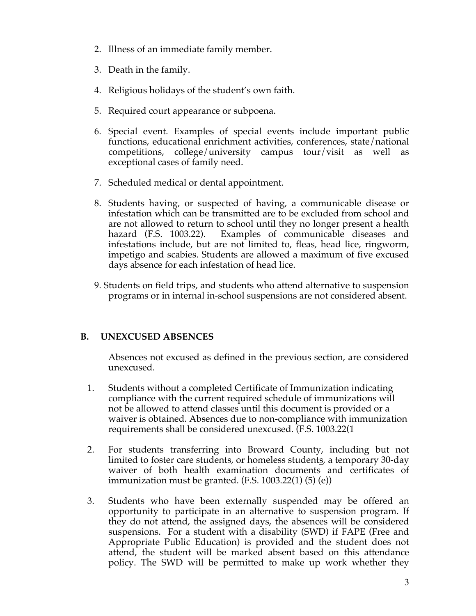- 2. Illness of an immediate family member.
- 3. Death in the family.
- 4. Religious holidays of the student's own faith.
- 5. Required court appearance or subpoena.
- 6. Special event. Examples of special events include important public functions, educational enrichment activities, conferences, state/national competitions, college/university campus tour/visit as well as exceptional cases of family need.
- 7. Scheduled medical or dental appointment.
- 8. Students having, or suspected of having, a communicable disease or infestation which can be transmitted are to be excluded from school and are not allowed to return to school until they no longer present a health hazard (F.S. 1003.22). Examples of communicable diseases and infestations include, but are not limited to, fleas, head lice, ringworm, impetigo and scabies. Students are allowed a maximum of five excused days absence for each infestation of head lice.
- 9. Students on field trips, and students who attend alternative to suspension programs or in internal in-school suspensions are not considered absent.

### **B. UNEXCUSED ABSENCES**

Absences not excused as defined in the previous section, are considered unexcused.

- 1. Students without a completed Certificate of Immunization indicating compliance with the current required schedule of immunizations will not be allowed to attend classes until this document is provided or a waiver is obtained. Absences due to non-compliance with immunization requirements shall be considered unexcused. (F.S. 1003.22(1
- 2. For students transferring into Broward County, including but not limited to foster care students, or homeless students, a temporary 30-day waiver of both health examination documents and certificates of immunization must be granted.  $(F.S. 1003.22(1) (5) (e))$
- 3. Students who have been externally suspended may be offered an opportunity to participate in an alternative to suspension program. If they do not attend, the assigned days, the absences will be considered suspensions. For a student with a disability (SWD) if FAPE (Free and Appropriate Public Education) is provided and the student does not attend, the student will be marked absent based on this attendance policy. The SWD will be permitted to make up work whether they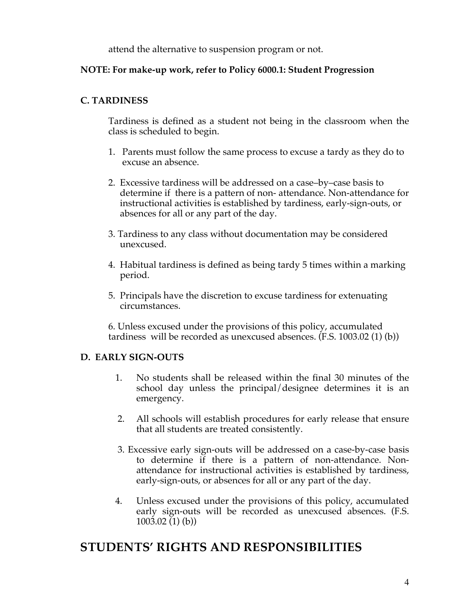attend the alternative to suspension program or not.

### **NOTE: For make-up work, refer to Policy 6000.1: Student Progression**

## **C. TARDINESS**

Tardiness is defined as a student not being in the classroom when the class is scheduled to begin.

- 1. Parents must follow the same process to excuse a tardy as they do to excuse an absence.
- 2. Excessive tardiness will be addressed on a case–by–case basis to determine if there is a pattern of non- attendance. Non-attendance for instructional activities is established by tardiness, early-sign-outs, or absences for all or any part of the day.
- 3. Tardiness to any class without documentation may be considered unexcused.
- 4. Habitual tardiness is defined as being tardy 5 times within a marking period.
- 5. Principals have the discretion to excuse tardiness for extenuating circumstances.

6. Unless excused under the provisions of this policy, accumulated tardiness will be recorded as unexcused absences. (F.S. 1003.02 (1) (b))

## **D. EARLY SIGN-OUTS**

- 1. No students shall be released within the final 30 minutes of the school day unless the principal/designee determines it is an emergency.
- 2. All schools will establish procedures for early release that ensure that all students are treated consistently.
- 3. Excessive early sign-outs will be addressed on a case-by-case basis to determine if there is a pattern of non-attendance. Nonattendance for instructional activities is established by tardiness, early-sign-outs, or absences for all or any part of the day.
- 4. Unless excused under the provisions of this policy, accumulated early sign-outs will be recorded as unexcused absences. (F.S.  $1003.02(1)(b)$

# **STUDENTS' RIGHTS AND RESPONSIBILITIES**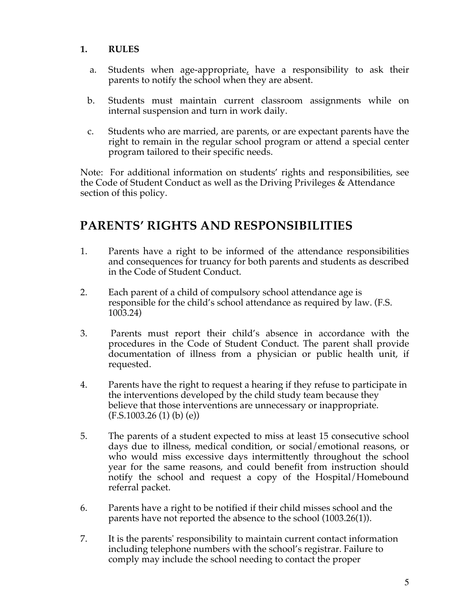### **1. RULES**

- a. Students when age-appropriate, have a responsibility to ask their parents to notify the school when they are absent.
- b. Students must maintain current classroom assignments while on internal suspension and turn in work daily.
- c. Students who are married, are parents, or are expectant parents have the right to remain in the regular school program or attend a special center program tailored to their specific needs.

Note: For additional information on students' rights and responsibilities, see the Code of Student Conduct as well as the Driving Privileges & Attendance section of this policy.

# **PARENTS' RIGHTS AND RESPONSIBILITIES**

- 1. Parents have a right to be informed of the attendance responsibilities and consequences for truancy for both parents and students as described in the Code of Student Conduct.
- 2. Each parent of a child of compulsory school attendance age is responsible for the child's school attendance as required by law. (F.S. 1003.24)
- 3. Parents must report their child's absence in accordance with the procedures in the Code of Student Conduct. The parent shall provide documentation of illness from a physician or public health unit, if requested.
- 4. Parents have the right to request a hearing if they refuse to participate in the interventions developed by the child study team because they believe that those interventions are unnecessary or inappropriate.  $(F.S.1003.26(1)$  (b) (e))
- 5. The parents of a student expected to miss at least 15 consecutive school days due to illness, medical condition, or social/emotional reasons, or who would miss excessive days intermittently throughout the school year for the same reasons, and could benefit from instruction should notify the school and request a copy of the Hospital/Homebound referral packet.
- 6. Parents have a right to be notified if their child misses school and the parents have not reported the absence to the school (1003.26(1)).
- 7. It is the parents' responsibility to maintain current contact information including telephone numbers with the school's registrar. Failure to comply may include the school needing to contact the proper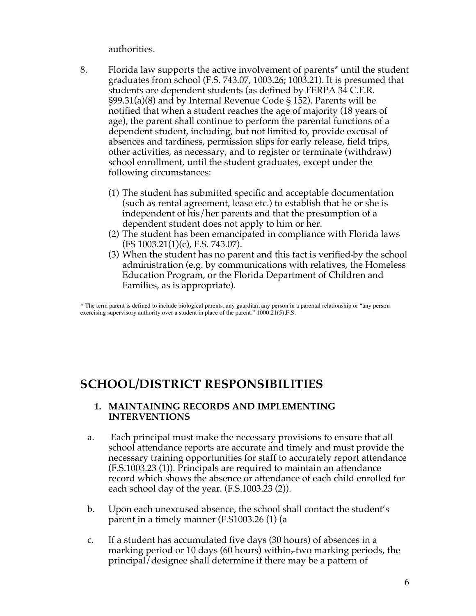authorities.

- 8. Florida law supports the active involvement of parents\* until the student graduates from school (F.S. 743.07, 1003.26; 1003.21). It is presumed that students are dependent students (as defined by FERPA 34 C.F.R. §99.31(a)(8) and by Internal Revenue Code § 152). Parents will be notified that when a student reaches the age of majority (18 years of age), the parent shall continue to perform the parental functions of a dependent student, including, but not limited to, provide excusal of absences and tardiness, permission slips for early release, field trips, other activities, as necessary, and to register or terminate (withdraw) school enrollment, until the student graduates, except under the following circumstances:
	- (1) The student has submitted specific and acceptable documentation (such as rental agreement, lease etc.) to establish that he or she is independent of his/her parents and that the presumption of a dependent student does not apply to him or her.
	- (2) The student has been emancipated in compliance with Florida laws (FS 1003.21(1)(c), F.S. 743.07).
	- (3) When the student has no parent and this fact is verified by the school administration (e.g. by communications with relatives, the Homeless Education Program, or the Florida Department of Children and Families, as is appropriate).

\* The term parent is defined to include biological parents, any guardian, any person in a parental relationship or "any person exercising supervisory authority over a student in place of the parent." 1000.21(5),F.S.

# **SCHOOL/DISTRICT RESPONSIBILITIES**

### **1. MAINTAINING RECORDS AND IMPLEMENTING INTERVENTIONS**

- a. Each principal must make the necessary provisions to ensure that all school attendance reports are accurate and timely and must provide the necessary training opportunities for staff to accurately report attendance (F.S.1003.23 (1)). Principals are required to maintain an attendance record which shows the absence or attendance of each child enrolled for each school day of the year. (F.S.1003.23 (2)).
- b. Upon each unexcused absence, the school shall contact the student's parent in a timely manner (F.S1003.26 (1) (a
- c. If a student has accumulated five days (30 hours) of absences in a marking period or 10 days (60 hours) within, two marking periods, the principal/designee shall determine if there may be a pattern of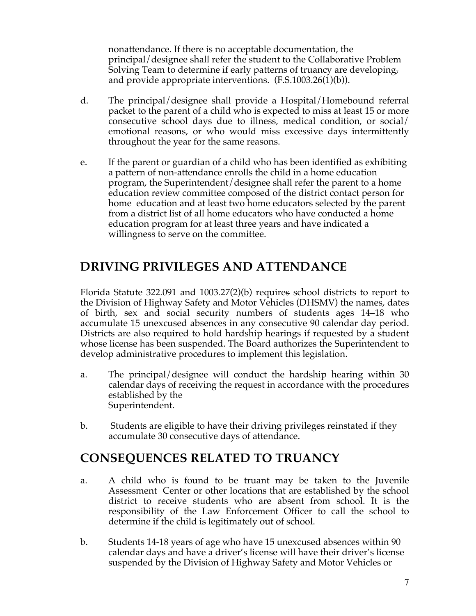nonattendance. If there is no acceptable documentation, the principal/designee shall refer the student to the Collaborative Problem Solving Team to determine if early patterns of truancy are developing, and provide appropriate interventions. (F.S.1003.26(1)(b)).

- d. The principal/designee shall provide a Hospital/Homebound referral packet to the parent of a child who is expected to miss at least 15 or more consecutive school days due to illness, medical condition, or social/ emotional reasons, or who would miss excessive days intermittently throughout the year for the same reasons.
- e. If the parent or guardian of a child who has been identified as exhibiting a pattern of non-attendance enrolls the child in a home education program, the Superintendent/designee shall refer the parent to a home education review committee composed of the district contact person for home education and at least two home educators selected by the parent from a district list of all home educators who have conducted a home education program for at least three years and have indicated a willingness to serve on the committee.

# **DRIVING PRIVILEGES AND ATTENDANCE**

Florida Statute 322.091 and 1003.27(2)(b) requires school districts to report to the Division of Highway Safety and Motor Vehicles (DHSMV) the names, dates of birth, sex and social security numbers of students ages 14–18 who accumulate 15 unexcused absences in any consecutive 90 calendar day period. Districts are also required to hold hardship hearings if requested by a student whose license has been suspended. The Board authorizes the Superintendent to develop administrative procedures to implement this legislation.

- a. The principal/designee will conduct the hardship hearing within 30 calendar days of receiving the request in accordance with the procedures established by the Superintendent.
- b. Students are eligible to have their driving privileges reinstated if they accumulate 30 consecutive days of attendance.

# **CONSEQUENCES RELATED TO TRUANCY**

- a. A child who is found to be truant may be taken to the Juvenile Assessment Center or other locations that are established by the school district to receive students who are absent from school. It is the responsibility of the Law Enforcement Officer to call the school to determine if the child is legitimately out of school.
- b. Students 14-18 years of age who have 15 unexcused absences within 90 calendar days and have a driver's license will have their driver's license suspended by the Division of Highway Safety and Motor Vehicles or